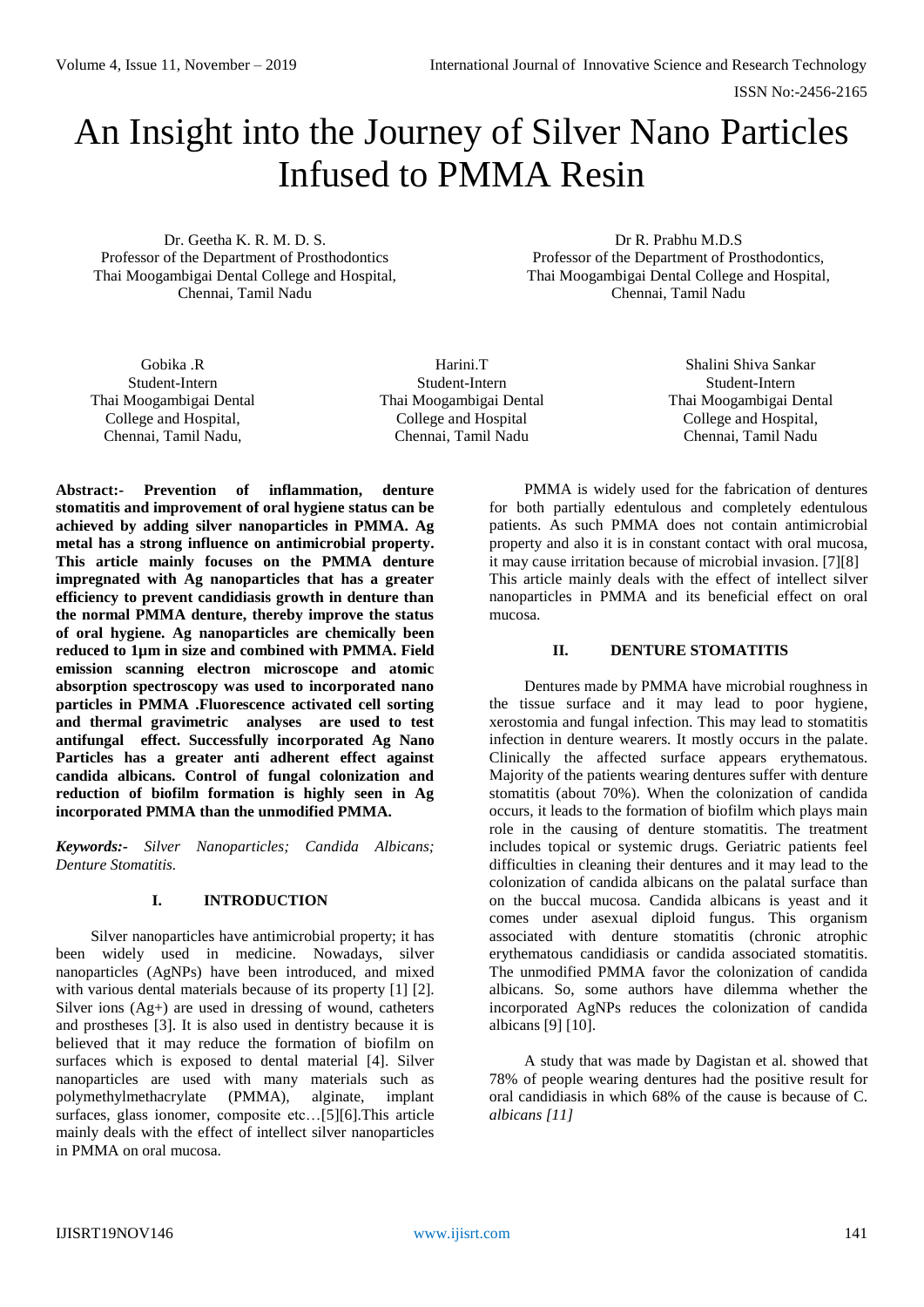ISSN No:-2456-2165

# An Insight into the Journey of Silver Nano Particles Infused to PMMA Resin

Dr. Geetha K. R. M. D. S. Professor of the Department of Prosthodontics Thai Moogambigai Dental College and Hospital, Chennai, Tamil Nadu

Dr R. Prabhu M.D.S Professor of the Department of Prosthodontics, Thai Moogambigai Dental College and Hospital, Chennai, Tamil Nadu

Gobika .R Student-Intern Thai Moogambigai Dental College and Hospital, Chennai, Tamil Nadu,

Harini.T Student-Intern Thai Moogambigai Dental College and Hospital Chennai, Tamil Nadu

Shalini Shiva Sankar Student-Intern Thai Moogambigai Dental College and Hospital, Chennai, Tamil Nadu

**Abstract:- Prevention of inflammation, denture stomatitis and improvement of oral hygiene status can be achieved by adding silver nanoparticles in PMMA. Ag metal has a strong influence on antimicrobial property. This article mainly focuses on the PMMA denture impregnated with Ag nanoparticles that has a greater efficiency to prevent candidiasis growth in denture than the normal PMMA denture, thereby improve the status of oral hygiene. Ag nanoparticles are chemically been reduced to 1µm in size and combined with PMMA. Field emission scanning electron microscope and atomic absorption spectroscopy was used to incorporated nano particles in PMMA .Fluorescence activated cell sorting and thermal gravimetric analyses are used to test antifungal effect. Successfully incorporated Ag Nano Particles has a greater anti adherent effect against candida albicans. Control of fungal colonization and reduction of biofilm formation is highly seen in Ag incorporated PMMA than the unmodified PMMA.** 

*Keywords:- Silver Nanoparticles; Candida Albicans; Denture Stomatitis.*

### **I. INTRODUCTION**

Silver nanoparticles have antimicrobial property; it has been widely used in medicine. Nowadays, silver nanoparticles (AgNPs) have been introduced, and mixed with various dental materials because of its property [1] [2]. Silver ions (Ag+) are used in dressing of wound, catheters and prostheses [3]. It is also used in dentistry because it is believed that it may reduce the formation of biofilm on surfaces which is exposed to dental material [4]. Silver nanoparticles are used with many materials such as polymethylmethacrylate (PMMA), alginate, implant surfaces, glass ionomer, composite etc…[5][6].This article mainly deals with the effect of intellect silver nanoparticles in PMMA on oral mucosa.

PMMA is widely used for the fabrication of dentures for both partially edentulous and completely edentulous patients. As such PMMA does not contain antimicrobial property and also it is in constant contact with oral mucosa, it may cause irritation because of microbial invasion. [7][8] This article mainly deals with the effect of intellect silver nanoparticles in PMMA and its beneficial effect on oral mucosa.

## **II. DENTURE STOMATITIS**

Dentures made by PMMA have microbial roughness in the tissue surface and it may lead to poor hygiene, xerostomia and fungal infection. This may lead to stomatitis infection in denture wearers. It mostly occurs in the palate. Clinically the affected surface appears erythematous. Majority of the patients wearing dentures suffer with denture stomatitis (about 70%). When the colonization of candida occurs, it leads to the formation of biofilm which plays main role in the causing of denture stomatitis. The treatment includes topical or systemic drugs. Geriatric patients feel difficulties in cleaning their dentures and it may lead to the colonization of candida albicans on the palatal surface than on the buccal mucosa. Candida albicans is yeast and it comes under asexual diploid fungus. This organism associated with denture stomatitis (chronic atrophic erythematous candidiasis or candida associated stomatitis. The unmodified PMMA favor the colonization of candida albicans. So, some authors have dilemma whether the incorporated AgNPs reduces the colonization of candida albicans [9] [10].

A study that was made by Dagistan et al. showed that 78% of people wearing dentures had the positive result for oral candidiasis in which 68% of the cause is because of C. *albicans [11]*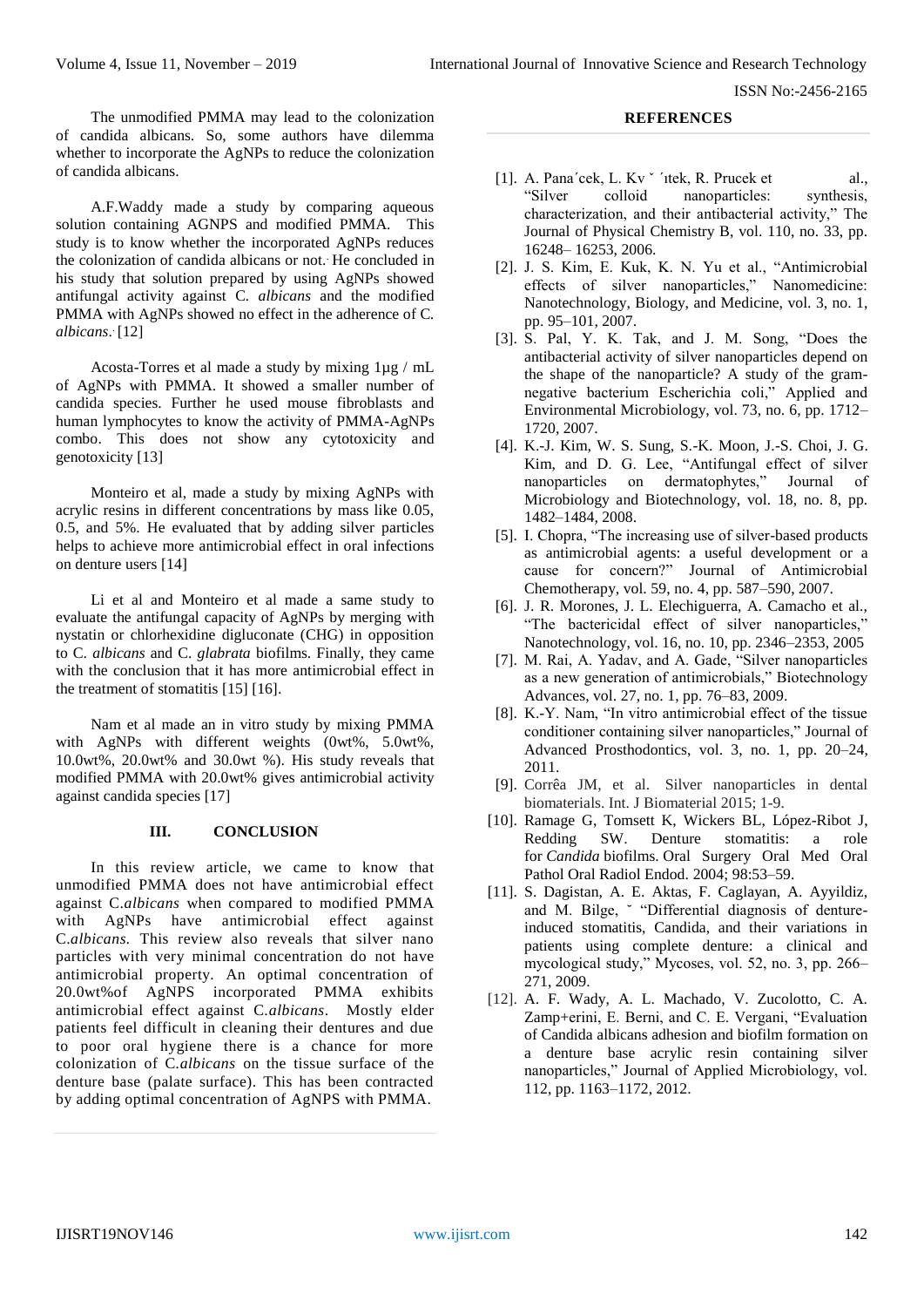ISSN No:-2456-2165

The unmodified PMMA may lead to the colonization of candida albicans. So, some authors have dilemma whether to incorporate the AgNPs to reduce the colonization of candida albicans.

A.F.Waddy made a study by comparing aqueous solution containing AGNPS and modified PMMA. This study is to know whether the incorporated AgNPs reduces the colonization of candida albicans or not.. He concluded in his study that solution prepared by using AgNPs showed antifungal activity against C*. albicans* and the modified PMMA with AgNPs showed no effect in the adherence of C*.*  albicans.<sup>[12]</sup>

Acosta-Torres et al made a study by mixing 1µg / mL of AgNPs with PMMA. It showed a smaller number of candida species. Further he used mouse fibroblasts and human lymphocytes to know the activity of PMMA-AgNPs combo. This does not show any cytotoxicity and genotoxicity [13]

Monteiro et al, made a study by mixing AgNPs with acrylic resins in different concentrations by mass like 0.05, 0.5, and 5%. He evaluated that by adding silver particles helps to achieve more antimicrobial effect in oral infections on denture users [14]

Li et al and Monteiro et al made a same study to evaluate the antifungal capacity of AgNPs by merging with nystatin or chlorhexidine digluconate (CHG) in opposition to C. *albicans* and C. *glabrata* biofilms. Finally, they came with the conclusion that it has more antimicrobial effect in the treatment of stomatitis [15] [16].

Nam et al made an in vitro study by mixing PMMA with AgNPs with different weights (0wt%, 5.0wt%, 10.0wt%, 20.0wt% and 30.0wt %). His study reveals that modified PMMA with 20.0wt% gives antimicrobial activity against candida species [17]

### **III. CONCLUSION**

In this review article, we came to know that unmodified PMMA does not have antimicrobial effect against C.*albicans* when compared to modified PMMA with AgNPs have antimicrobial effect against C.*albicans.* This review also reveals that silver nano particles with very minimal concentration do not have antimicrobial property. An optimal concentration of 20.0wt%of AgNPS incorporated PMMA exhibits antimicrobial effect against C.*albicans*. Mostly elder patients feel difficult in cleaning their dentures and due to poor oral hygiene there is a chance for more colonization of C*.albicans* on the tissue surface of the denture base (palate surface). This has been contracted by adding optimal concentration of AgNPS with PMMA.

## **REFERENCES**

- [1]. A. Pana'cek, L. Kv ' 'itek, R. Prucek et al., "Silver colloid nanoparticles: synthesis, characterization, and their antibacterial activity," The Journal of Physical Chemistry B, vol. 110, no. 33, pp. 16248– 16253, 2006.
- [2]. J. S. Kim, E. Kuk, K. N. Yu et al., "Antimicrobial effects of silver nanoparticles," Nanomedicine: Nanotechnology, Biology, and Medicine, vol. 3, no. 1, pp. 95–101, 2007.
- [3]. S. Pal, Y. K. Tak, and J. M. Song, "Does the antibacterial activity of silver nanoparticles depend on the shape of the nanoparticle? A study of the gramnegative bacterium Escherichia coli," Applied and Environmental Microbiology, vol. 73, no. 6, pp. 1712– 1720, 2007.
- [4]. K.-J. Kim, W. S. Sung, S.-K. Moon, J.-S. Choi, J. G. Kim, and D. G. Lee, "Antifungal effect of silver nanoparticles on dermatophytes," Journal of Microbiology and Biotechnology, vol. 18, no. 8, pp. 1482–1484, 2008.
- [5]. I. Chopra, "The increasing use of silver-based products as antimicrobial agents: a useful development or a cause for concern?" Journal of Antimicrobial Chemotherapy, vol. 59, no. 4, pp. 587–590, 2007.
- [6]. J. R. Morones, J. L. Elechiguerra, A. Camacho et al., "The bactericidal effect of silver nanoparticles," Nanotechnology, vol. 16, no. 10, pp. 2346–2353, 2005
- [7]. M. Rai, A. Yadav, and A. Gade, "Silver nanoparticles as a new generation of antimicrobials," Biotechnology Advances, vol. 27, no. 1, pp. 76–83, 2009.
- [8]. K.-Y. Nam, "In vitro antimicrobial effect of the tissue conditioner containing silver nanoparticles," Journal of Advanced Prosthodontics, vol. 3, no. 1, pp. 20–24, 2011.
- [9]. Corrêa JM, et al. Silver nanoparticles in dental biomaterials. Int. J Biomaterial 2015; 1-9.
- [10]. Ramage G, Tomsett K, Wickers BL, López-Ribot J, Redding SW. Denture stomatitis: a role for *Candida* biofilms. Oral Surgery Oral Med Oral Pathol Oral Radiol Endod. 2004; 98:53–59.
- [11]. S. Dagistan, A. E. Aktas, F. Caglayan, A. Ayyildiz, and M. Bilge, ˘ "Differential diagnosis of dentureinduced stomatitis, Candida, and their variations in patients using complete denture: a clinical and mycological study," Mycoses, vol. 52, no. 3, pp. 266– 271, 2009.
- [12]. A. F. Wady, A. L. Machado, V. Zucolotto, C. A. Zamp+erini, E. Berni, and C. E. Vergani, "Evaluation of Candida albicans adhesion and biofilm formation on a denture base acrylic resin containing silver nanoparticles," Journal of Applied Microbiology, vol. 112, pp. 1163–1172, 2012.